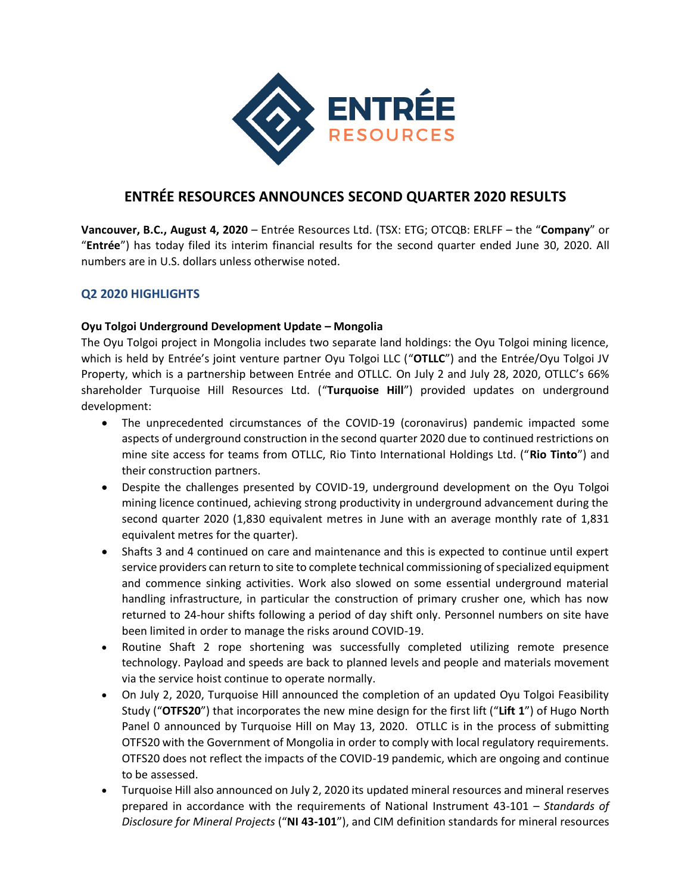

# **ENTRÉE RESOURCES ANNOUNCES SECOND QUARTER 2020 RESULTS**

**Vancouver, B.C., August 4, 2020** – Entrée Resources Ltd. (TSX: ETG; OTCQB: ERLFF – the "**Company**" or "**Entrée**") has today filed its interim financial results for the second quarter ended June 30, 2020. All numbers are in U.S. dollars unless otherwise noted.

## **Q2 2020 HIGHLIGHTS**

## **Oyu Tolgoi Underground Development Update – Mongolia**

The Oyu Tolgoi project in Mongolia includes two separate land holdings: the Oyu Tolgoi mining licence, which is held by Entrée's joint venture partner Oyu Tolgoi LLC ("**OTLLC**") and the Entrée/Oyu Tolgoi JV Property, which is a partnership between Entrée and OTLLC. On July 2 and July 28, 2020, OTLLC's 66% shareholder Turquoise Hill Resources Ltd. ("**Turquoise Hill**") provided updates on underground development:

- The unprecedented circumstances of the COVID-19 (coronavirus) pandemic impacted some aspects of underground construction in the second quarter 2020 due to continued restrictions on mine site access for teams from OTLLC, Rio Tinto International Holdings Ltd. ("**Rio Tinto**") and their construction partners.
- Despite the challenges presented by COVID-19, underground development on the Oyu Tolgoi mining licence continued, achieving strong productivity in underground advancement during the second quarter 2020 (1,830 equivalent metres in June with an average monthly rate of 1,831 equivalent metres for the quarter).
- Shafts 3 and 4 continued on care and maintenance and this is expected to continue until expert service providers can return to site to complete technical commissioning of specialized equipment and commence sinking activities. Work also slowed on some essential underground material handling infrastructure, in particular the construction of primary crusher one, which has now returned to 24-hour shifts following a period of day shift only. Personnel numbers on site have been limited in order to manage the risks around COVID-19.
- Routine Shaft 2 rope shortening was successfully completed utilizing remote presence technology. Payload and speeds are back to planned levels and people and materials movement via the service hoist continue to operate normally.
- On July 2, 2020, Turquoise Hill announced the completion of an updated Oyu Tolgoi Feasibility Study ("**OTFS20**") that incorporates the new mine design for the first lift ("**Lift 1**") of Hugo North Panel 0 announced by Turquoise Hill on May 13, 2020. OTLLC is in the process of submitting OTFS20 with the Government of Mongolia in order to comply with local regulatory requirements. OTFS20 does not reflect the impacts of the COVID-19 pandemic, which are ongoing and continue to be assessed.
- Turquoise Hill also announced on July 2, 2020 its updated mineral resources and mineral reserves prepared in accordance with the requirements of National Instrument 43-101 – *Standards of Disclosure for Mineral Projects* ("**NI 43-101**"), and CIM definition standards for mineral resources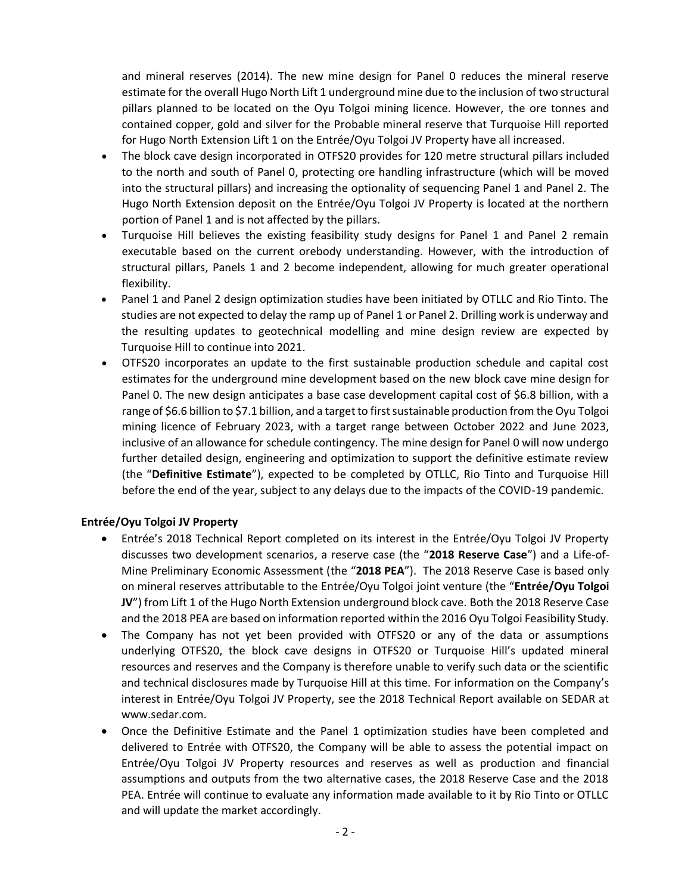and mineral reserves (2014). The new mine design for Panel 0 reduces the mineral reserve estimate for the overall Hugo North Lift 1 underground mine due to the inclusion of two structural pillars planned to be located on the Oyu Tolgoi mining licence. However, the ore tonnes and contained copper, gold and silver for the Probable mineral reserve that Turquoise Hill reported for Hugo North Extension Lift 1 on the Entrée/Oyu Tolgoi JV Property have all increased.

- The block cave design incorporated in OTFS20 provides for 120 metre structural pillars included to the north and south of Panel 0, protecting ore handling infrastructure (which will be moved into the structural pillars) and increasing the optionality of sequencing Panel 1 and Panel 2. The Hugo North Extension deposit on the Entrée/Oyu Tolgoi JV Property is located at the northern portion of Panel 1 and is not affected by the pillars.
- Turquoise Hill believes the existing feasibility study designs for Panel 1 and Panel 2 remain executable based on the current orebody understanding. However, with the introduction of structural pillars, Panels 1 and 2 become independent, allowing for much greater operational flexibility.
- Panel 1 and Panel 2 design optimization studies have been initiated by OTLLC and Rio Tinto. The studies are not expected to delay the ramp up of Panel 1 or Panel 2. Drilling work is underway and the resulting updates to geotechnical modelling and mine design review are expected by Turquoise Hill to continue into 2021.
- OTFS20 incorporates an update to the first sustainable production schedule and capital cost estimates for the underground mine development based on the new block cave mine design for Panel 0. The new design anticipates a base case development capital cost of \$6.8 billion, with a range of \$6.6 billion to \$7.1 billion, and a target to first sustainable production from the Oyu Tolgoi mining licence of February 2023, with a target range between October 2022 and June 2023, inclusive of an allowance for schedule contingency. The mine design for Panel 0 will now undergo further detailed design, engineering and optimization to support the definitive estimate review (the "**Definitive Estimate**"), expected to be completed by OTLLC, Rio Tinto and Turquoise Hill before the end of the year, subject to any delays due to the impacts of the COVID-19 pandemic.

#### **Entrée/Oyu Tolgoi JV Property**

- Entrée's 2018 Technical Report completed on its interest in the Entrée/Oyu Tolgoi JV Property discusses two development scenarios, a reserve case (the "**2018 Reserve Case**") and a Life-of-Mine Preliminary Economic Assessment (the "**2018 PEA**"). The 2018 Reserve Case is based only on mineral reserves attributable to the Entrée/Oyu Tolgoi joint venture (the "**Entrée/Oyu Tolgoi JV**") from Lift 1 of the Hugo North Extension underground block cave. Both the 2018 Reserve Case and the 2018 PEA are based on information reported within the 2016 Oyu Tolgoi Feasibility Study.
- The Company has not yet been provided with OTFS20 or any of the data or assumptions underlying OTFS20, the block cave designs in OTFS20 or Turquoise Hill's updated mineral resources and reserves and the Company is therefore unable to verify such data or the scientific and technical disclosures made by Turquoise Hill at this time. For information on the Company's interest in Entrée/Oyu Tolgoi JV Property, see the 2018 Technical Report available on SEDAR at [www.sedar.com.](http://www.sedar.com/)
- Once the Definitive Estimate and the Panel 1 optimization studies have been completed and delivered to Entrée with OTFS20, the Company will be able to assess the potential impact on Entrée/Oyu Tolgoi JV Property resources and reserves as well as production and financial assumptions and outputs from the two alternative cases, the 2018 Reserve Case and the 2018 PEA. Entrée will continue to evaluate any information made available to it by Rio Tinto or OTLLC and will update the market accordingly.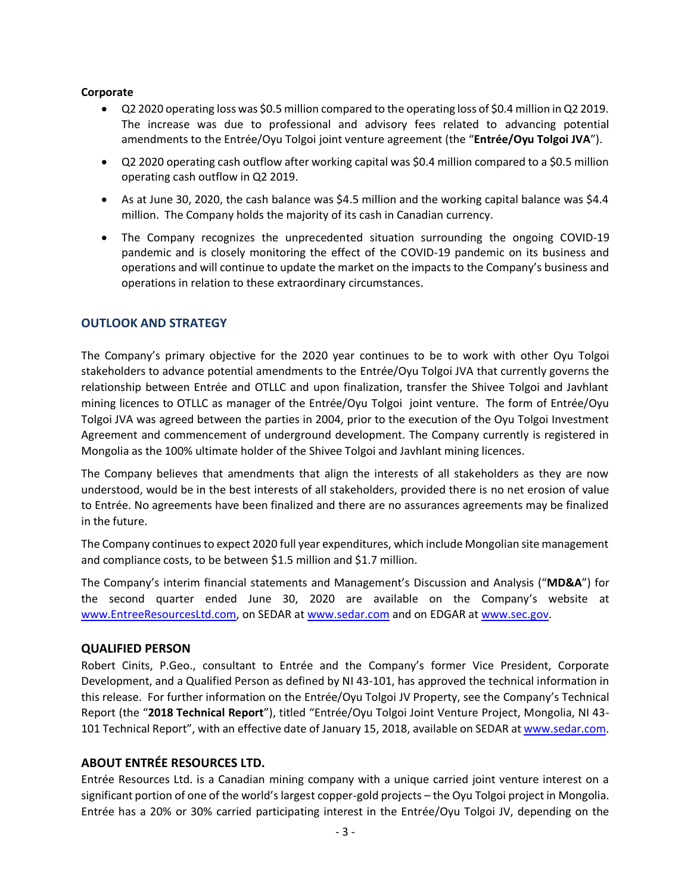#### **Corporate**

- Q2 2020 operating loss was \$0.5 million compared to the operating loss of \$0.4 million in Q2 2019. The increase was due to professional and advisory fees related to advancing potential amendments to the Entrée/Oyu Tolgoi joint venture agreement (the "**Entrée/Oyu Tolgoi JVA**").
- Q2 2020 operating cash outflow after working capital was \$0.4 million compared to a \$0.5 million operating cash outflow in Q2 2019.
- As at June 30, 2020, the cash balance was \$4.5 million and the working capital balance was \$4.4 million. The Company holds the majority of its cash in Canadian currency.
- The Company recognizes the unprecedented situation surrounding the ongoing COVID-19 pandemic and is closely monitoring the effect of the COVID-19 pandemic on its business and operations and will continue to update the market on the impacts to the Company's business and operations in relation to these extraordinary circumstances.

## **OUTLOOK AND STRATEGY**

The Company's primary objective for the 2020 year continues to be to work with other Oyu Tolgoi stakeholders to advance potential amendments to the Entrée/Oyu Tolgoi JVA that currently governs the relationship between Entrée and OTLLC and upon finalization, transfer the Shivee Tolgoi and Javhlant mining licences to OTLLC as manager of the Entrée/Oyu Tolgoi joint venture. The form of Entrée/Oyu Tolgoi JVA was agreed between the parties in 2004, prior to the execution of the Oyu Tolgoi Investment Agreement and commencement of underground development. The Company currently is registered in Mongolia as the 100% ultimate holder of the Shivee Tolgoi and Javhlant mining licences.

The Company believes that amendments that align the interests of all stakeholders as they are now understood, would be in the best interests of all stakeholders, provided there is no net erosion of value to Entrée. No agreements have been finalized and there are no assurances agreements may be finalized in the future.

The Company continues to expect 2020 full year expenditures, which include Mongolian site management and compliance costs, to be between \$1.5 million and \$1.7 million.

The Company's interim financial statements and Management's Discussion and Analysis ("**MD&A**") for the second quarter ended June 30, 2020 are available on the Company's website at [www.EntreeResourcesLtd.com,](http://www.entreeresourcesltd.com/) on SEDAR at [www.sedar.com](http://www.sedar.com/) and on EDGAR a[t www.sec.gov.](http://www.sec.gov/)

#### **QUALIFIED PERSON**

Robert Cinits, P.Geo., consultant to Entrée and the Company's former Vice President, Corporate Development, and a Qualified Person as defined by NI 43-101, has approved the technical information in this release. For further information on the Entrée/Oyu Tolgoi JV Property, see the Company's Technical Report (the "**2018 Technical Report**"), titled "Entrée/Oyu Tolgoi Joint Venture Project, Mongolia, NI 43- 101 Technical Report", with an effective date of January 15, 2018, available on SEDAR a[t www.sedar.com.](http://www.sedar.com/)

#### **ABOUT ENTRÉE RESOURCES LTD.**

Entrée Resources Ltd. is a Canadian mining company with a unique carried joint venture interest on a significant portion of one of the world's largest copper-gold projects – the Oyu Tolgoi project in Mongolia. Entrée has a 20% or 30% carried participating interest in the Entrée/Oyu Tolgoi JV, depending on the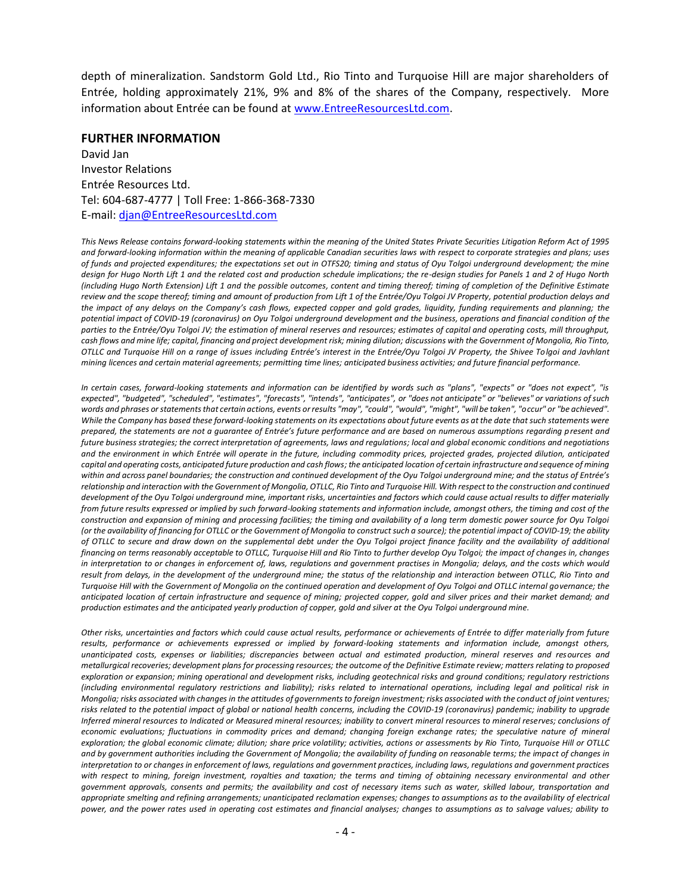depth of mineralization. Sandstorm Gold Ltd., Rio Tinto and Turquoise Hill are major shareholders of Entrée, holding approximately 21%, 9% and 8% of the shares of the Company, respectively. More information about Entrée can be found at [www.EntreeResourcesLtd.com.](http://www.entreeresourcesltd.com/)

#### **FURTHER INFORMATION**

David Jan Investor Relations Entrée Resources Ltd. Tel: 604-687-4777 | Toll Free: 1-866-368-7330 E-mail: [djan@EntreeResourcesLtd.com](mailto:djan@EntreeResourcesLtd.com)

*This News Release contains forward-looking statements within the meaning of the United States Private Securities Litigation Reform Act of 1995 and forward-looking information within the meaning of applicable Canadian securities laws with respect to corporate strategies and plans; uses of funds and projected expenditures; the expectations set out in OTFS20; timing and status of Oyu Tolgoi underground development; the mine design for Hugo North Lift 1 and the related cost and production schedule implications; the re-design studies for Panels 1 and 2 of Hugo North (including Hugo North Extension) Lift 1 and the possible outcomes, content and timing thereof; timing of completion of the Definitive Estimate review and the scope thereof; timing and amount of production from Lift 1 of the Entrée/Oyu Tolgoi JV Property, potential production delays and the impact of any delays on the Company's cash flows, expected copper and gold grades, liquidity, funding requirements and planning; the potential impact of COVID-19 (coronavirus) on Oyu Tolgoi underground development and the business, operations and financial condition of the parties to the Entrée/Oyu Tolgoi JV; the estimation of mineral reserves and resources; estimates of capital and operating costs, mill throughput, cash flows and mine life; capital, financing and project development risk; mining dilution; discussions with the Government of Mongolia, Rio Tinto, OTLLC and Turquoise Hill on a range of issues including Entrée's interest in the Entrée/Oyu Tolgoi JV Property, the Shivee Tolgoi and Javhlant mining licences and certain material agreements; permitting time lines; anticipated business activities; and future financial performance.*

*In certain cases, forward-looking statements and information can be identified by words such as "plans", "expects" or "does not expect", "is expected", "budgeted", "scheduled", "estimates", "forecasts", "intends", "anticipates", or "does not anticipate" or "believes" or variations of such words and phrases or statements that certain actions, events or results "may", "could", "would", "might", "will be taken", "occur" or "be achieved". While the Company has based these forward-looking statements on its expectations about future events as at the date that such statements were prepared, the statements are not a guarantee of Entrée's future performance and are based on numerous assumptions regarding present and future business strategies; the correct interpretation of agreements, laws and regulations; local and global economic conditions and negotiations and the environment in which Entrée will operate in the future, including commodity prices, projected grades, projected dilution, anticipated capital and operating costs, anticipated future production and cash flows; the anticipated location of certain infrastructure and sequence of mining within and across panel boundaries; the construction and continued development of the Oyu Tolgoi underground mine; and the status of Entrée's relationship and interaction with the Government of Mongolia, OTLLC, Rio Tinto and Turquoise Hill. With respect to the construction and continued development of the Oyu Tolgoi underground mine, important risks, uncertainties and factors which could cause actual results to differ materially from future results expressed or implied by such forward-looking statements and information include, amongst others, the timing and cost of the construction and expansion of mining and processing facilities; the timing and availability of a long term domestic power source for Oyu Tolgoi (or the availability of financing for OTLLC or the Government of Mongolia to construct such a source); the potential impact of COVID-19; the ability of OTLLC to secure and draw down on the supplemental debt under the Oyu Tolgoi project finance facility and the availability of additional financing on terms reasonably acceptable to OTLLC, Turquoise Hill and Rio Tinto to further develop Oyu Tolgoi; the impact of changes in, changes in interpretation to or changes in enforcement of, laws, regulations and government practises in Mongolia; delays, and the costs which would*  result from delays, in the development of the underground mine; the status of the relationship and interaction between OTLLC, Rio Tinto and *Turquoise Hill with the Government of Mongolia on the continued operation and development of Oyu Tolgoi and OTLLC internal governance; the anticipated location of certain infrastructure and sequence of mining; projected copper, gold and silver prices and their market demand; and production estimates and the anticipated yearly production of copper, gold and silver at the Oyu Tolgoi underground mine.* 

*Other risks, uncertainties and factors which could cause actual results, performance or achievements of Entrée to differ materially from future results, performance or achievements expressed or implied by forward-looking statements and information include, amongst others, unanticipated costs, expenses or liabilities; discrepancies between actual and estimated production, mineral reserves and resources and metallurgical recoveries; development plans for processing resources; the outcome of the Definitive Estimate review; matters relating to proposed exploration or expansion; mining operational and development risks, including geotechnical risks and ground conditions; regulatory restrictions (including environmental regulatory restrictions and liability); risks related to international operations, including legal and political risk in Mongolia; risks associated with changes in the attitudes of governments to foreign investment; risks associated with the conduct of joint ventures;*  risks related to the potential impact of global or national health concerns, including the COVID-19 (coronavirus) pandemic; inability to upgrade *Inferred mineral resources to Indicated or Measured mineral resources; inability to convert mineral resources to mineral reserves; conclusions of economic evaluations; fluctuations in commodity prices and demand; changing foreign exchange rates; the speculative nature of mineral exploration; the global economic climate; dilution; share price volatility; activities, actions or assessments by Rio Tinto, Turquoise Hill or OTLLC and by government authorities including the Government of Mongolia; the availability of funding on reasonable terms; the impact of changes in interpretation to or changes in enforcement of laws, regulations and government practices, including laws, regulations and government practices with respect to mining, foreign investment, royalties and taxation; the terms and timing of obtaining necessary environmental and other government approvals, consents and permits; the availability and cost of necessary items such as water, skilled labour, transportation and appropriate smelting and refining arrangements; unanticipated reclamation expenses; changes to assumptions as to the availability of electrical power, and the power rates used in operating cost estimates and financial analyses; changes to assumptions as to salvage values; ability to*